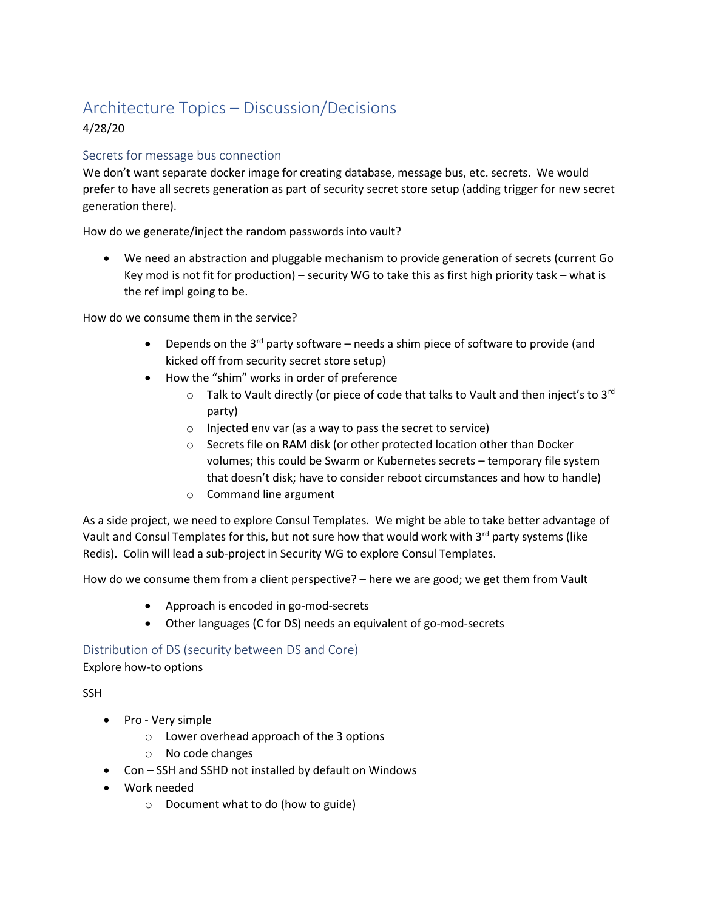# Architecture Topics – Discussion/Decisions

# 4/28/20

# Secrets for message bus connection

We don't want separate docker image for creating database, message bus, etc. secrets. We would prefer to have all secrets generation as part of security secret store setup (adding trigger for new secret generation there).

How do we generate/inject the random passwords into vault?

• We need an abstraction and pluggable mechanism to provide generation of secrets (current Go Key mod is not fit for production) – security WG to take this as first high priority task – what is the ref impl going to be.

How do we consume them in the service?

- Depends on the  $3^{rd}$  party software needs a shim piece of software to provide (and kicked off from security secret store setup)
- How the "shim" works in order of preference
	- $\circ$  Talk to Vault directly (or piece of code that talks to Vault and then inject's to 3<sup>rd</sup> party)
	- o Injected env var (as a way to pass the secret to service)
	- o Secrets file on RAM disk (or other protected location other than Docker volumes; this could be Swarm or Kubernetes secrets – temporary file system that doesn't disk; have to consider reboot circumstances and how to handle)
	- o Command line argument

As a side project, we need to explore Consul Templates. We might be able to take better advantage of Vault and Consul Templates for this, but not sure how that would work with 3<sup>rd</sup> party systems (like Redis). Colin will lead a sub-project in Security WG to explore Consul Templates.

How do we consume them from a client perspective? – here we are good; we get them from Vault

- Approach is encoded in go-mod-secrets
- Other languages (C for DS) needs an equivalent of go-mod-secrets

Distribution of DS (security between DS and Core)

Explore how-to options

**SSH** 

- Pro Very simple
	- o Lower overhead approach of the 3 options
	- o No code changes
- Con SSH and SSHD not installed by default on Windows
- Work needed
	- o Document what to do (how to guide)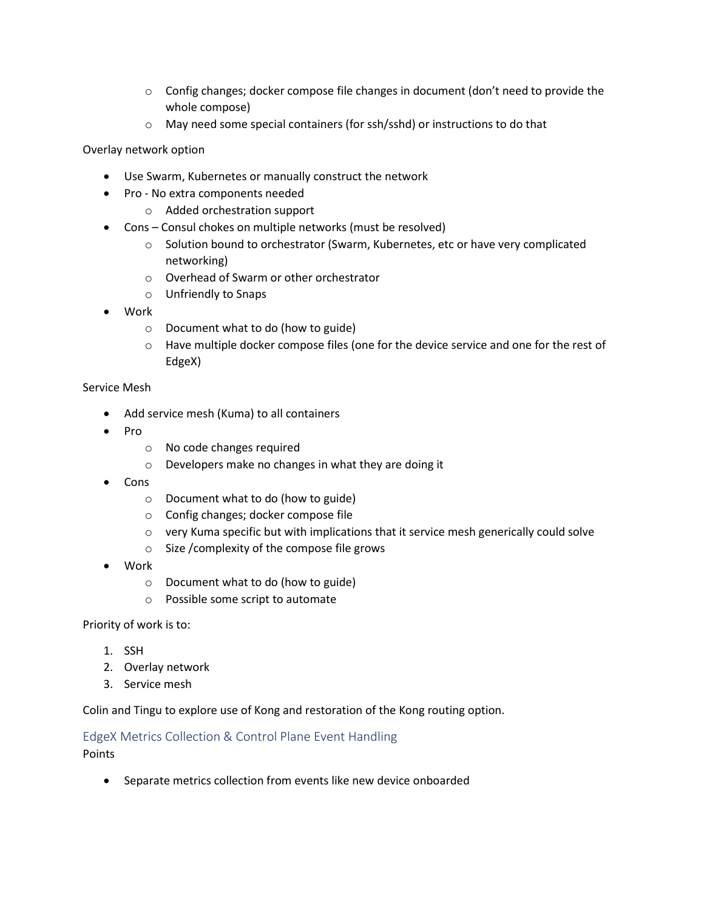- $\circ$  Config changes; docker compose file changes in document (don't need to provide the whole compose)
- o May need some special containers (for ssh/sshd) or instructions to do that

Overlay network option

- Use Swarm, Kubernetes or manually construct the network
- Pro No extra components needed
	- o Added orchestration support
- Cons Consul chokes on multiple networks (must be resolved)
	- o Solution bound to orchestrator (Swarm, Kubernetes, etc or have very complicated networking)
	- o Overhead of Swarm or other orchestrator
	- o Unfriendly to Snaps
- Work
	- o Document what to do (how to guide)
	- o Have multiple docker compose files (one for the device service and one for the rest of EdgeX)

### Service Mesh

- Add service mesh (Kuma) to all containers
- Pro
	- o No code changes required
	- o Developers make no changes in what they are doing it
- Cons
	- o Document what to do (how to guide)
	- o Config changes; docker compose file
	- $\circ$  very Kuma specific but with implications that it service mesh generically could solve
	- o Size /complexity of the compose file grows
- Work
	- o Document what to do (how to guide)
	- o Possible some script to automate

Priority of work is to:

- 1. SSH
- 2. Overlay network
- 3. Service mesh

Colin and Tingu to explore use of Kong and restoration of the Kong routing option.

# EdgeX Metrics Collection & Control Plane Event Handling

Points

• Separate metrics collection from events like new device onboarded